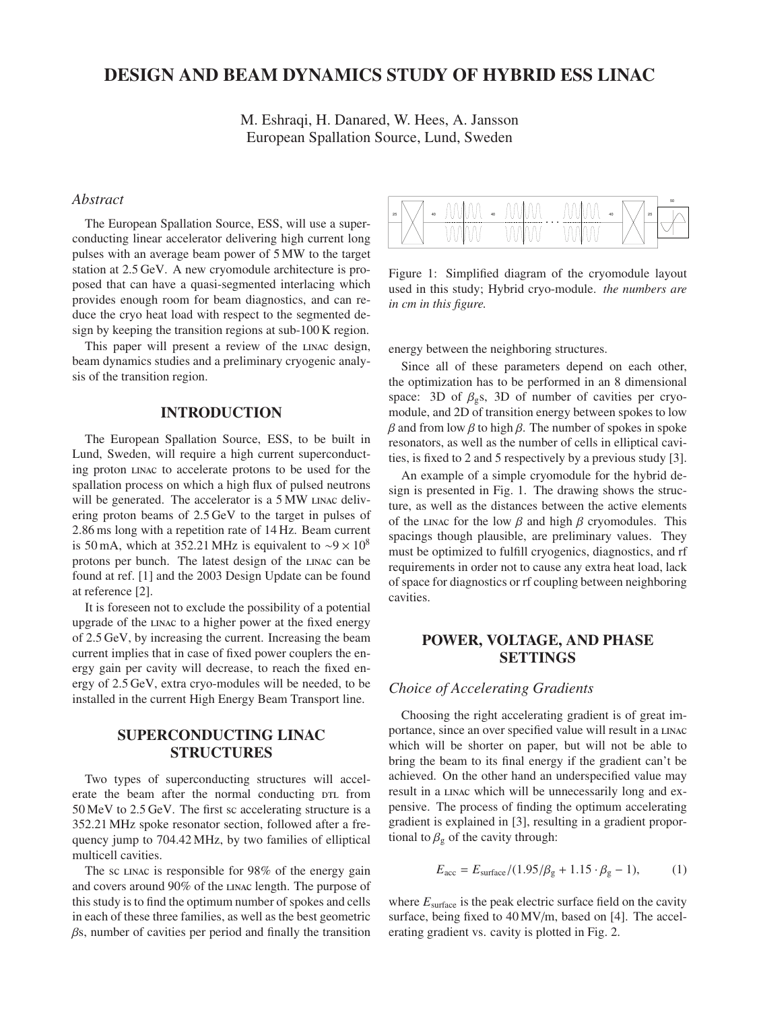# DESIGN AND BEAM DYNAMICS STUDY OF HYBRID ESS LINAC

M. Eshraqi, H. Danared, W. Hees, A. Jansson European Spallation Source, Lund, Sweden

### *Abstract*

The European Spallation Source, ESS, will use a superconducting linear accelerator delivering high current long pulses with an average beam power of 5 MW to the target station at 2.5 GeV. A new cryomodule architecture is proposed that can have a quasi-segmented interlacing which provides enough room for beam diagnostics, and can reduce the cryo heat load with respect to the segmented design by keeping the transition regions at sub-100 K region.

This paper will present a review of the linac design, beam dynamics studies and a preliminary cryogenic analysis of the transition region.

## INTRODUCTION

The European Spallation Source, ESS, to be built in Lund, Sweden, will require a high current superconducting proton linac to accelerate protons to be used for the spallation process on which a high flux of pulsed neutrons will be generated. The accelerator is a 5 MW LINAC delivering proton beams of 2.5 GeV to the target in pulses of 2.86 ms long with a repetition rate of 14 Hz. Beam current is 50 mA, which at 352.21 MHz is equivalent to ~9 × 10<sup>8</sup> protons per bunch. The latest design of the linac can be found at ref. [1] and the 2003 Design Update can be found at reference [2].

It is foreseen not to exclude the possibility of a potential upgrade of the linac to a higher power at the fixed energy of 2.5 GeV, by increasing the current. Increasing the beam current implies that in case of fixed power couplers the energy gain per cavity will decrease, to reach the fixed energy of 2.5 GeV, extra cryo-modules will be needed, to be installed in the current High Energy Beam Transport line.

## SUPERCONDUCTING LINAC **STRUCTURES**

Two types of superconducting structures will accelerate the beam after the normal conducting  $DTL$  from 50 MeV to 2.5 GeV. The first sc accelerating structure is a 352.21 MHz spoke resonator section, followed after a frequency jump to 704.42 MHz, by two families of elliptical multicell cavities.

The sc linac is responsible for 98% of the energy gain and covers around 90% of the linac length. The purpose of this study is to find the optimum number of spokes and cells in each of these three families, as well as the best geometric  $\beta$ s, number of cavities per period and finally the transition

| 25 | 40<br>v | 40<br>v | v<br>v<br>v<br>v<br>$\cdots$ | v<br>v<br>v<br>v | 25<br>40 | 50          |
|----|---------|---------|------------------------------|------------------|----------|-------------|
|    | v       | v       | v<br>v                       | v<br>ν<br>x      |          | $\check{ }$ |

Figure 1: Simplified diagram of the cryomodule layout used in this study; Hybrid cryo-module. *the numbers are in cm in this figure.*

energy between the neighboring structures.

Since all of these parameters depend on each other, the optimization has to be performed in an 8 dimensional space: 3D of  $\beta$ <sub>g</sub>s, 3D of number of cavities per cryomodule, and 2D of transition energy between spokes to low  $β$  and from low  $β$  to high  $β$ . The number of spokes in spoke resonators, as well as the number of cells in elliptical cavities, is fixed to 2 and 5 respectively by a previous study [3].

An example of a simple cryomodule for the hybrid design is presented in Fig. 1. The drawing shows the structure, as well as the distances between the active elements of the LINAC for the low  $\beta$  and high  $\beta$  cryomodules. This spacings though plausible, are preliminary values. They must be optimized to fulfill cryogenics, diagnostics, and rf requirements in order not to cause any extra heat load, lack of space for diagnostics or rf coupling between neighboring cavities.

## POWER, VOLTAGE, AND PHASE SETTINGS

### *Choice of Accelerating Gradients*

Choosing the right accelerating gradient is of great importance, since an over specified value will result in a linac which will be shorter on paper, but will not be able to bring the beam to its final energy if the gradient can't be achieved. On the other hand an underspecified value may result in a linac which will be unnecessarily long and expensive. The process of finding the optimum accelerating gradient is explained in [3], resulting in a gradient proportional to  $\beta_{\rm g}$  of the cavity through:

$$
E_{\text{acc}} = E_{\text{surface}} / (1.95/\beta_{\text{g}} + 1.15 \cdot \beta_{\text{g}} - 1), \tag{1}
$$

where  $E_{\text{surface}}$  is the peak electric surface field on the cavity surface, being fixed to 40 MV/m, based on [4]. The accelerating gradient vs. cavity is plotted in Fig. 2.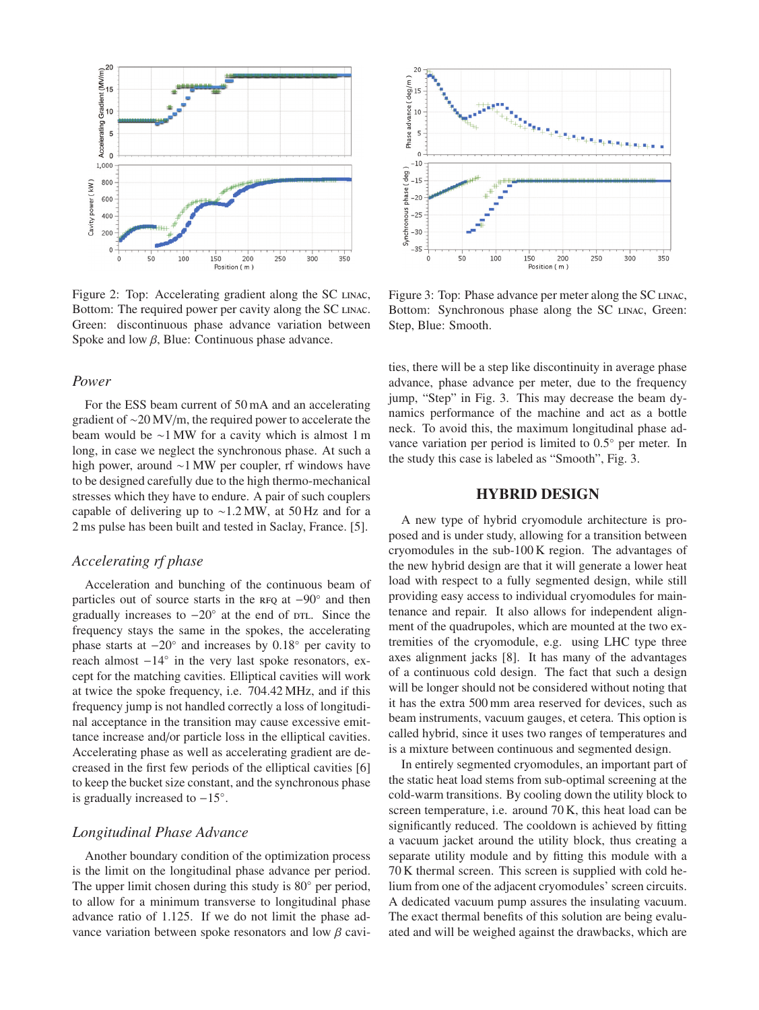

Figure 2: Top: Accelerating gradient along the SC LINAC, Bottom: The required power per cavity along the SC LINAC. Green: discontinuous phase advance variation between Spoke and low  $\beta$ , Blue: Continuous phase advance.

#### *Power*

For the ESS beam current of 50 mA and an accelerating gradient of ∼20 MV/m, the required power to accelerate the beam would be ∼1 MW for a cavity which is almost 1 m long, in case we neglect the synchronous phase. At such a high power, around ∼1 MW per coupler, rf windows have to be designed carefully due to the high thermo-mechanical stresses which they have to endure. A pair of such couplers capable of delivering up to ∼1.2 MW, at 50 Hz and for a 2 ms pulse has been built and tested in Saclay, France. [5].

### *Accelerating rf phase*

Acceleration and bunching of the continuous beam of particles out of source starts in the RFQ at −90° and then gradually increases to  $-20°$  at the end of DTL. Since the frequency stays the same in the spokes, the accelerating phase starts at  $-20^\circ$  and increases by  $0.18^\circ$  per cavity to reach almost −14◦ in the very last spoke resonators, except for the matching cavities. Elliptical cavities will work at twice the spoke frequency, i.e. 704.42 MHz, and if this frequency jump is not handled correctly a loss of longitudinal acceptance in the transition may cause excessive emittance increase and/or particle loss in the elliptical cavities. Accelerating phase as well as accelerating gradient are decreased in the first few periods of the elliptical cavities [6] to keep the bucket size constant, and the synchronous phase is gradually increased to −15◦.

### *Longitudinal Phase Advance*

Another boundary condition of the optimization process is the limit on the longitudinal phase advance per period. The upper limit chosen during this study is 80◦ per period, to allow for a minimum transverse to longitudinal phase advance ratio of 1.125. If we do not limit the phase advance variation between spoke resonators and low  $\beta$  cavi-



Figure 3: Top: Phase advance per meter along the SC LINAC, Bottom: Synchronous phase along the SC LINAC, Green: Step, Blue: Smooth.

ties, there will be a step like discontinuity in average phase advance, phase advance per meter, due to the frequency jump, "Step" in Fig. 3. This may decrease the beam dynamics performance of the machine and act as a bottle neck. To avoid this, the maximum longitudinal phase advance variation per period is limited to 0.5◦ per meter. In the study this case is labeled as "Smooth", Fig. 3.

### HYBRID DESIGN

A new type of hybrid cryomodule architecture is proposed and is under study, allowing for a transition between cryomodules in the sub-100 K region. The advantages of the new hybrid design are that it will generate a lower heat load with respect to a fully segmented design, while still providing easy access to individual cryomodules for maintenance and repair. It also allows for independent alignment of the quadrupoles, which are mounted at the two extremities of the cryomodule, e.g. using LHC type three axes alignment jacks [8]. It has many of the advantages of a continuous cold design. The fact that such a design will be longer should not be considered without noting that it has the extra 500 mm area reserved for devices, such as beam instruments, vacuum gauges, et cetera. This option is called hybrid, since it uses two ranges of temperatures and is a mixture between continuous and segmented design.

In entirely segmented cryomodules, an important part of the static heat load stems from sub-optimal screening at the cold-warm transitions. By cooling down the utility block to screen temperature, i.e. around 70 K, this heat load can be significantly reduced. The cooldown is achieved by fitting a vacuum jacket around the utility block, thus creating a separate utility module and by fitting this module with a 70 K thermal screen. This screen is supplied with cold helium from one of the adjacent cryomodules' screen circuits. A dedicated vacuum pump assures the insulating vacuum. The exact thermal benefits of this solution are being evaluated and will be weighed against the drawbacks, which are